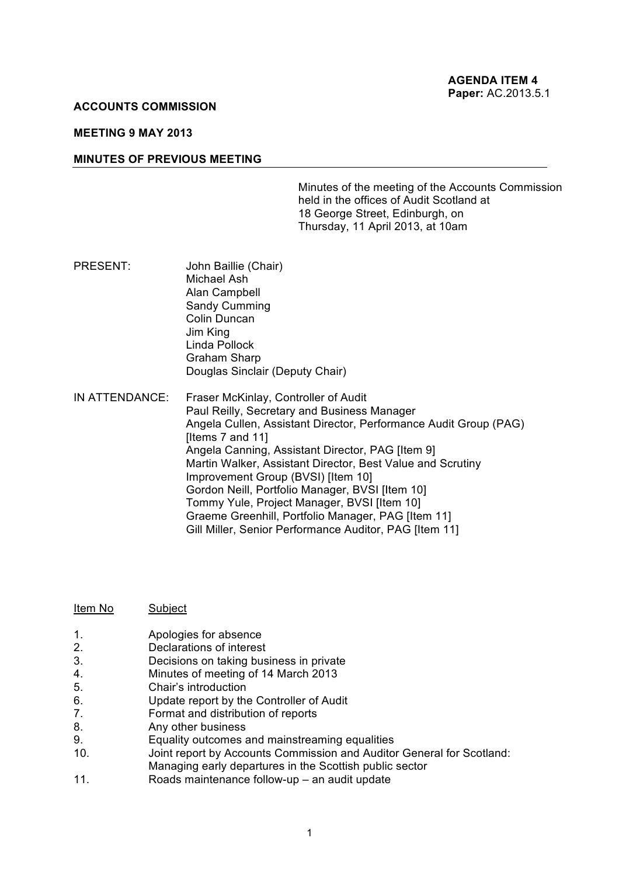#### **ACCOUNTS COMMISSION**

## **MEETING 9 MAY 2013**

#### **MINUTES OF PREVIOUS MEETING**

Minutes of the meeting of the Accounts Commission held in the offices of Audit Scotland at 18 George Street, Edinburgh, on Thursday, 11 April 2013, at 10am

- PRESENT: John Baillie (Chair) Michael Ash Alan Campbell Sandy Cumming Colin Duncan Jim King Linda Pollock Graham Sharp Douglas Sinclair (Deputy Chair)
- IN ATTENDANCE: Fraser McKinlay, Controller of Audit Paul Reilly, Secretary and Business Manager Angela Cullen, Assistant Director, Performance Audit Group (PAG) [Items 7 and 11] Angela Canning, Assistant Director, PAG [Item 9] Martin Walker, Assistant Director, Best Value and Scrutiny Improvement Group (BVSI) [Item 10] Gordon Neill, Portfolio Manager, BVSI [Item 10] Tommy Yule, Project Manager, BVSI [Item 10] Graeme Greenhill, Portfolio Manager, PAG [Item 11] Gill Miller, Senior Performance Auditor, PAG [Item 11]

| Item No | Subject |  |
|---------|---------|--|
|         |         |  |

- 1. **Apologies for absence**<br>2 **Declarations of interest**
- Declarations of interest
- 3. Decisions on taking business in private
- 4. Minutes of meeting of 14 March 2013
- 5. Chair's introduction
- 6. Update report by the Controller of Audit
- 7. Format and distribution of reports
- 8. Any other business
- 9. Equality outcomes and mainstreaming equalities
- 10. Joint report by Accounts Commission and Auditor General for Scotland: Managing early departures in the Scottish public sector
- 11. Roads maintenance follow-up an audit update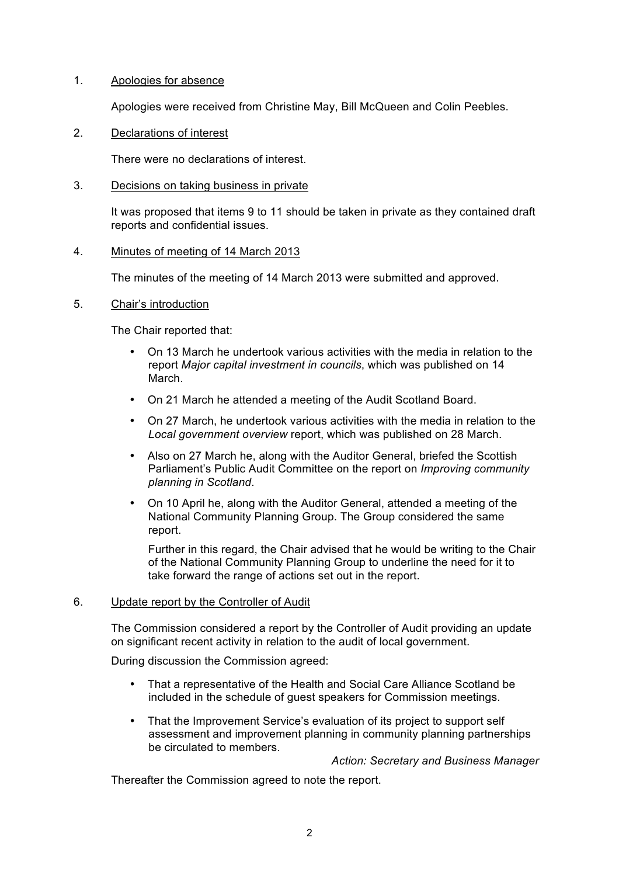## 1. Apologies for absence

Apologies were received from Christine May, Bill McQueen and Colin Peebles.

# 2. Declarations of interest

There were no declarations of interest.

### 3. Decisions on taking business in private

It was proposed that items 9 to 11 should be taken in private as they contained draft reports and confidential issues.

### 4. Minutes of meeting of 14 March 2013

The minutes of the meeting of 14 March 2013 were submitted and approved.

### 5. Chair's introduction

The Chair reported that:

- On 13 March he undertook various activities with the media in relation to the report *Major capital investment in councils*, which was published on 14 March.
- On 21 March he attended a meeting of the Audit Scotland Board.
- On 27 March, he undertook various activities with the media in relation to the *Local government overview* report, which was published on 28 March.
- Also on 27 March he, along with the Auditor General, briefed the Scottish Parliament's Public Audit Committee on the report on *Improving community planning in Scotland*.
- On 10 April he, along with the Auditor General, attended a meeting of the National Community Planning Group. The Group considered the same report.

Further in this regard, the Chair advised that he would be writing to the Chair of the National Community Planning Group to underline the need for it to take forward the range of actions set out in the report.

#### 6. Update report by the Controller of Audit

The Commission considered a report by the Controller of Audit providing an update on significant recent activity in relation to the audit of local government.

During discussion the Commission agreed:

- That a representative of the Health and Social Care Alliance Scotland be included in the schedule of guest speakers for Commission meetings.
- That the Improvement Service's evaluation of its project to support self assessment and improvement planning in community planning partnerships be circulated to members.

*Action: Secretary and Business Manager*

Thereafter the Commission agreed to note the report.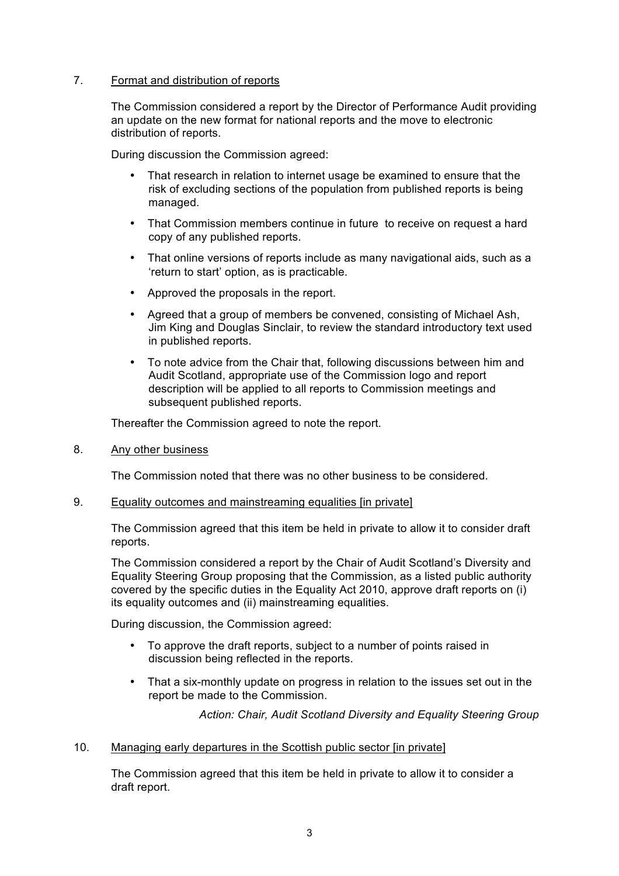# 7. Format and distribution of reports

The Commission considered a report by the Director of Performance Audit providing an update on the new format for national reports and the move to electronic distribution of reports.

During discussion the Commission agreed:

- That research in relation to internet usage be examined to ensure that the risk of excluding sections of the population from published reports is being managed.
- That Commission members continue in future to receive on request a hard copy of any published reports.
- That online versions of reports include as many navigational aids, such as a 'return to start' option, as is practicable.
- Approved the proposals in the report.
- Agreed that a group of members be convened, consisting of Michael Ash, Jim King and Douglas Sinclair, to review the standard introductory text used in published reports.
- To note advice from the Chair that, following discussions between him and Audit Scotland, appropriate use of the Commission logo and report description will be applied to all reports to Commission meetings and subsequent published reports.

Thereafter the Commission agreed to note the report.

8. Any other business

The Commission noted that there was no other business to be considered.

#### 9. Equality outcomes and mainstreaming equalities [in private]

The Commission agreed that this item be held in private to allow it to consider draft reports.

The Commission considered a report by the Chair of Audit Scotland's Diversity and Equality Steering Group proposing that the Commission, as a listed public authority covered by the specific duties in the Equality Act 2010, approve draft reports on (i) its equality outcomes and (ii) mainstreaming equalities.

During discussion, the Commission agreed:

- To approve the draft reports, subject to a number of points raised in discussion being reflected in the reports.
- That a six-monthly update on progress in relation to the issues set out in the report be made to the Commission.

*Action: Chair, Audit Scotland Diversity and Equality Steering Group*

## 10. Managing early departures in the Scottish public sector [in private]

The Commission agreed that this item be held in private to allow it to consider a draft report.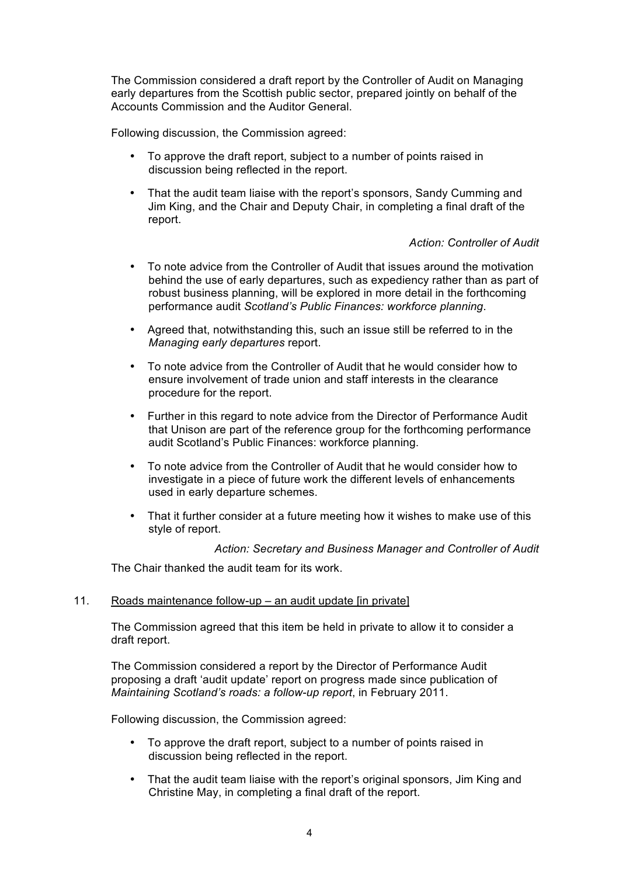The Commission considered a draft report by the Controller of Audit on Managing early departures from the Scottish public sector, prepared jointly on behalf of the Accounts Commission and the Auditor General.

Following discussion, the Commission agreed:

- To approve the draft report, subject to a number of points raised in discussion being reflected in the report.
- That the audit team liaise with the report's sponsors, Sandy Cumming and Jim King, and the Chair and Deputy Chair, in completing a final draft of the report.

# *Action: Controller of Audit*

- To note advice from the Controller of Audit that issues around the motivation behind the use of early departures, such as expediency rather than as part of robust business planning, will be explored in more detail in the forthcoming performance audit *Scotland's Public Finances: workforce planning*.
- Agreed that, notwithstanding this, such an issue still be referred to in the *Managing early departures* report.
- To note advice from the Controller of Audit that he would consider how to ensure involvement of trade union and staff interests in the clearance procedure for the report.
- Further in this regard to note advice from the Director of Performance Audit that Unison are part of the reference group for the forthcoming performance audit Scotland's Public Finances: workforce planning.
- To note advice from the Controller of Audit that he would consider how to investigate in a piece of future work the different levels of enhancements used in early departure schemes.
- That it further consider at a future meeting how it wishes to make use of this style of report.

*Action: Secretary and Business Manager and Controller of Audit*

The Chair thanked the audit team for its work.

### 11. Roads maintenance follow-up – an audit update [in private]

The Commission agreed that this item be held in private to allow it to consider a draft report.

The Commission considered a report by the Director of Performance Audit proposing a draft 'audit update' report on progress made since publication of *Maintaining Scotland's roads: a follow-up report*, in February 2011.

Following discussion, the Commission agreed:

- To approve the draft report, subject to a number of points raised in discussion being reflected in the report.
- That the audit team liaise with the report's original sponsors, Jim King and Christine May, in completing a final draft of the report.